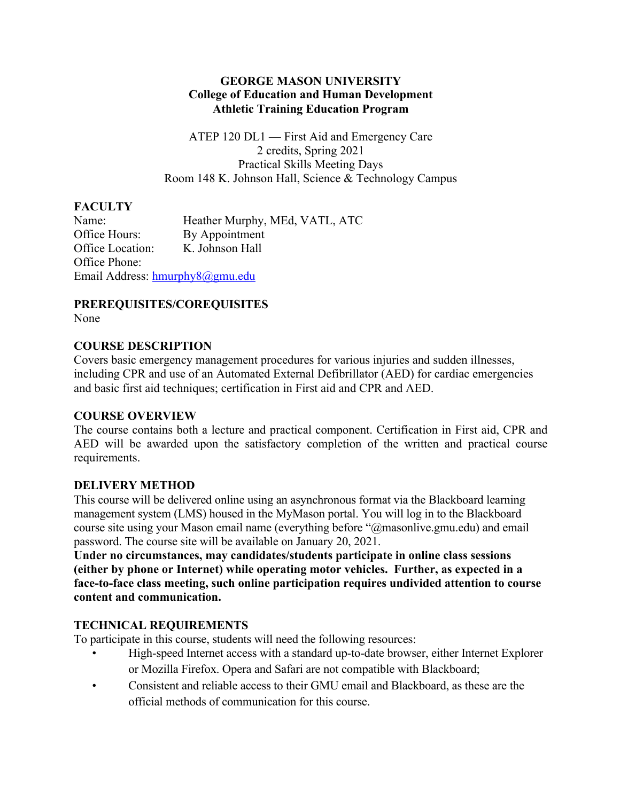#### **GEORGE MASON UNIVERSITY College of Education and Human Development Athletic Training Education Program**

ATEP 120 DL1 — First Aid and Emergency Care 2 credits, Spring 2021 Practical Skills Meeting Days Room 148 K. Johnson Hall, Science & Technology Campus

## **FACULTY**

Name: Heather Murphy, MEd, VATL, ATC Office Hours: By Appointment Office Location: K. Johnson Hall Office Phone: Email Address: hmurphy8@gmu.edu

# **PREREQUISITES/COREQUISITES**

None

## **COURSE DESCRIPTION**

Covers basic emergency management procedures for various injuries and sudden illnesses, including CPR and use of an Automated External Defibrillator (AED) for cardiac emergencies and basic first aid techniques; certification in First aid and CPR and AED.

## **COURSE OVERVIEW**

The course contains both a lecture and practical component. Certification in First aid, CPR and AED will be awarded upon the satisfactory completion of the written and practical course requirements.

## **DELIVERY METHOD**

This course will be delivered online using an asynchronous format via the Blackboard learning management system (LMS) housed in the MyMason portal. You will log in to the Blackboard course site using your Mason email name (everything before "@masonlive.gmu.edu) and email password. The course site will be available on January 20, 2021.

**Under no circumstances, may candidates/students participate in online class sessions (either by phone or Internet) while operating motor vehicles. Further, as expected in a face-to-face class meeting, such online participation requires undivided attention to course content and communication.**

## **TECHNICAL REQUIREMENTS**

To participate in this course, students will need the following resources:

- High-speed Internet access with a standard up-to-date browser, either Internet Explorer or Mozilla Firefox. Opera and Safari are not compatible with Blackboard;
- Consistent and reliable access to their GMU email and Blackboard, as these are the official methods of communication for this course.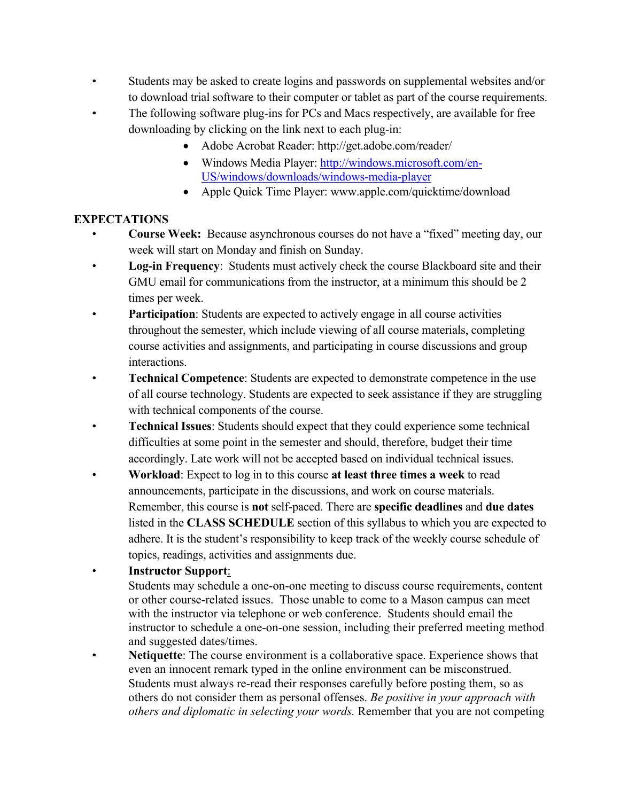- Students may be asked to create logins and passwords on supplemental websites and/or to download trial software to their computer or tablet as part of the course requirements.
- The following software plug-ins for PCs and Macs respectively, are available for free downloading by clicking on the link next to each plug-in:
	- Adobe Acrobat Reader: http://get.adobe.com/reader/
	- Windows Media Player: http://windows.microsoft.com/en-US/windows/downloads/windows-media-player
	- Apple Quick Time Player: www.apple.com/quicktime/download

## **EXPECTATIONS**

- **Course Week:** Because asynchronous courses do not have a "fixed" meeting day, our week will start on Monday and finish on Sunday.
- **Log-in Frequency:** Students must actively check the course Blackboard site and their GMU email for communications from the instructor, at a minimum this should be 2 times per week.
- **Participation**: Students are expected to actively engage in all course activities throughout the semester, which include viewing of all course materials, completing course activities and assignments, and participating in course discussions and group interactions.
- **Technical Competence**: Students are expected to demonstrate competence in the use of all course technology. Students are expected to seek assistance if they are struggling with technical components of the course.
- **Technical Issues**: Students should expect that they could experience some technical difficulties at some point in the semester and should, therefore, budget their time accordingly. Late work will not be accepted based on individual technical issues.
- **Workload**: Expect to log in to this course **at least three times a week** to read announcements, participate in the discussions, and work on course materials. Remember, this course is **not** self-paced. There are **specific deadlines** and **due dates** listed in the **CLASS SCHEDULE** section of this syllabus to which you are expected to adhere. It is the student's responsibility to keep track of the weekly course schedule of topics, readings, activities and assignments due.
- **Instructor Support**:

Students may schedule a one-on-one meeting to discuss course requirements, content or other course-related issues. Those unable to come to a Mason campus can meet with the instructor via telephone or web conference. Students should email the instructor to schedule a one-on-one session, including their preferred meeting method and suggested dates/times.

Netiquette: The course environment is a collaborative space. Experience shows that even an innocent remark typed in the online environment can be misconstrued. Students must always re-read their responses carefully before posting them, so as others do not consider them as personal offenses. *Be positive in your approach with others and diplomatic in selecting your words.* Remember that you are not competing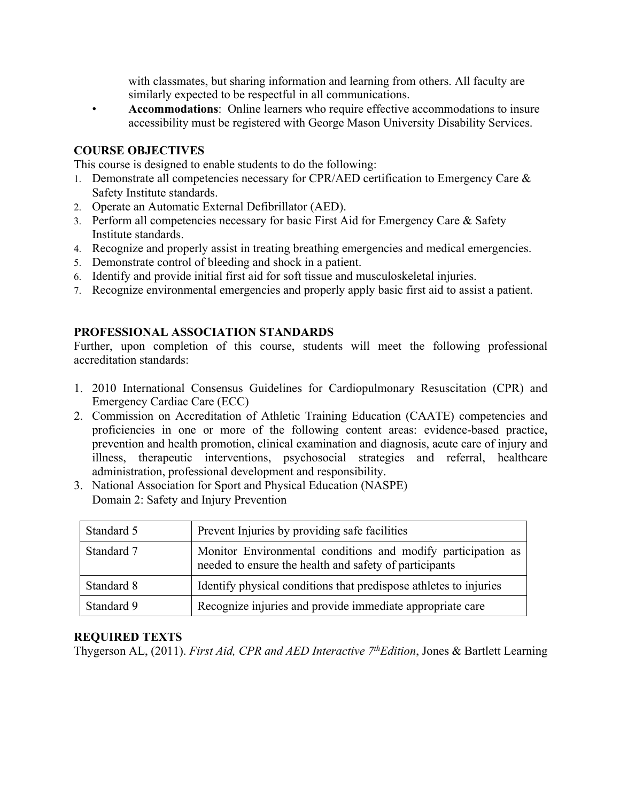with classmates, but sharing information and learning from others. All faculty are similarly expected to be respectful in all communications.

• **Accommodations**: Online learners who require effective accommodations to insure accessibility must be registered with George Mason University Disability Services.

#### **COURSE OBJECTIVES**

This course is designed to enable students to do the following:

- 1. Demonstrate all competencies necessary for CPR/AED certification to Emergency Care  $\&$ Safety Institute standards.
- 2. Operate an Automatic External Defibrillator (AED).
- 3. Perform all competencies necessary for basic First Aid for Emergency Care & Safety Institute standards.
- 4. Recognize and properly assist in treating breathing emergencies and medical emergencies.
- 5. Demonstrate control of bleeding and shock in a patient.
- 6. Identify and provide initial first aid for soft tissue and musculoskeletal injuries.
- 7. Recognize environmental emergencies and properly apply basic first aid to assist a patient.

#### **PROFESSIONAL ASSOCIATION STANDARDS**

Further, upon completion of this course, students will meet the following professional accreditation standards:

- 1. 2010 International Consensus Guidelines for Cardiopulmonary Resuscitation (CPR) and Emergency Cardiac Care (ECC)
- 2. Commission on Accreditation of Athletic Training Education (CAATE) competencies and proficiencies in one or more of the following content areas: evidence-based practice, prevention and health promotion, clinical examination and diagnosis, acute care of injury and illness, therapeutic interventions, psychosocial strategies and referral, healthcare administration, professional development and responsibility.
- 3. National Association for Sport and Physical Education (NASPE) Domain 2: Safety and Injury Prevention

| Standard 5 | Prevent Injuries by providing safe facilities                                                                          |
|------------|------------------------------------------------------------------------------------------------------------------------|
| Standard 7 | Monitor Environmental conditions and modify participation as<br>needed to ensure the health and safety of participants |
| Standard 8 | Identify physical conditions that predispose athletes to injuries                                                      |
| Standard 9 | Recognize injuries and provide immediate appropriate care                                                              |

## **REQUIRED TEXTS**

Thygerson AL, (2011). *First Aid, CPR and AED Interactive 7thEdition*, Jones & Bartlett Learning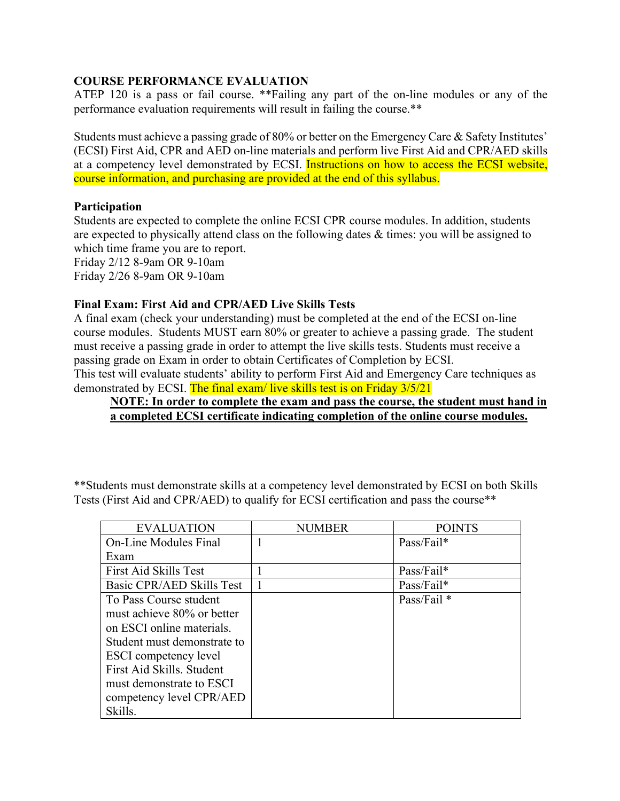## **COURSE PERFORMANCE EVALUATION**

ATEP 120 is a pass or fail course. \*\*Failing any part of the on-line modules or any of the performance evaluation requirements will result in failing the course.\*\*

Students must achieve a passing grade of 80% or better on the Emergency Care & Safety Institutes' (ECSI) First Aid, CPR and AED on-line materials and perform live First Aid and CPR/AED skills at a competency level demonstrated by ECSI. Instructions on how to access the ECSI website, course information, and purchasing are provided at the end of this syllabus.

#### **Participation**

Students are expected to complete the online ECSI CPR course modules. In addition, students are expected to physically attend class on the following dates & times: you will be assigned to which time frame you are to report. Friday 2/12 8-9am OR 9-10am

Friday 2/26 8-9am OR 9-10am

#### **Final Exam: First Aid and CPR/AED Live Skills Tests**

A final exam (check your understanding) must be completed at the end of the ECSI on-line course modules. Students MUST earn 80% or greater to achieve a passing grade. The student must receive a passing grade in order to attempt the live skills tests. Students must receive a passing grade on Exam in order to obtain Certificates of Completion by ECSI.

This test will evaluate students' ability to perform First Aid and Emergency Care techniques as demonstrated by ECSI. The final exam/ live skills test is on Friday 3/5/21

## **NOTE: In order to complete the exam and pass the course, the student must hand in a completed ECSI certificate indicating completion of the online course modules.**

\*\*Students must demonstrate skills at a competency level demonstrated by ECSI on both Skills Tests (First Aid and CPR/AED) to qualify for ECSI certification and pass the course\*\*

| <b>EVALUATION</b>           | NUMBER | <b>POINTS</b> |
|-----------------------------|--------|---------------|
| On-Line Modules Final       |        | Pass/Fail*    |
| Exam                        |        |               |
| First Aid Skills Test       |        | $Pass/fail*$  |
| Basic CPR/AED Skills Test   |        | Pass/Fail*    |
| To Pass Course student      |        | Pass/Fail *   |
| must achieve 80% or better  |        |               |
| on ESCI online materials.   |        |               |
| Student must demonstrate to |        |               |
| ESCI competency level       |        |               |
| First Aid Skills. Student   |        |               |
| must demonstrate to ESCI    |        |               |
| competency level CPR/AED    |        |               |
| Skills.                     |        |               |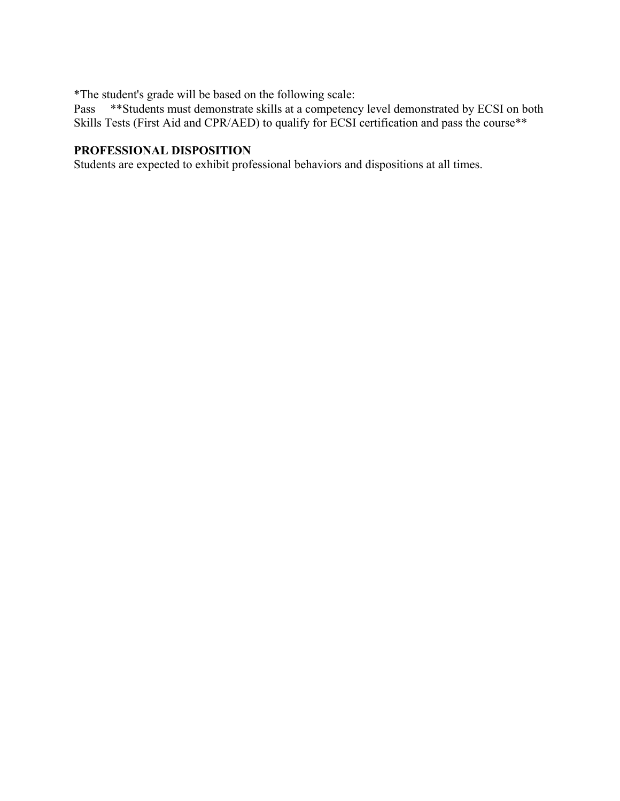\*The student's grade will be based on the following scale:

Pass \*\*Students must demonstrate skills at a competency level demonstrated by ECSI on both Skills Tests (First Aid and CPR/AED) to qualify for ECSI certification and pass the course\*\*

## **PROFESSIONAL DISPOSITION**

Students are expected to exhibit professional behaviors and dispositions at all times.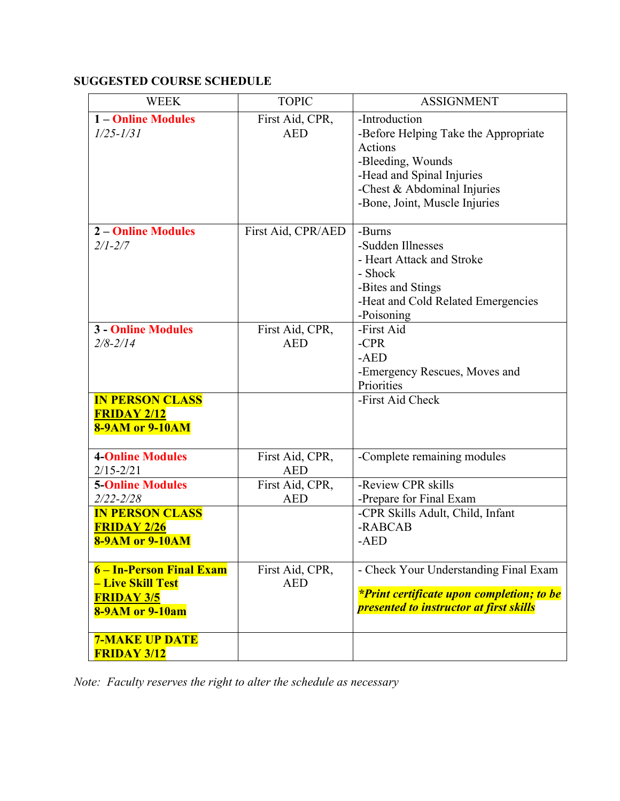## **SUGGESTED COURSE SCHEDULE**

| <b>WEEK</b>                                                                                  | <b>TOPIC</b>                  | <b>ASSIGNMENT</b>                                                                                                                                                                  |
|----------------------------------------------------------------------------------------------|-------------------------------|------------------------------------------------------------------------------------------------------------------------------------------------------------------------------------|
| <b>1-Online Modules</b><br>$1/25 - 1/31$                                                     | First Aid, CPR,<br><b>AED</b> | -Introduction<br>-Before Helping Take the Appropriate<br>Actions<br>-Bleeding, Wounds<br>-Head and Spinal Injuries<br>-Chest & Abdominal Injuries<br>-Bone, Joint, Muscle Injuries |
| <b>2-Online Modules</b><br>$2/1 - 2/7$                                                       | First Aid, CPR/AED            | -Burns<br>-Sudden Illnesses<br>- Heart Attack and Stroke<br>- Shock<br>-Bites and Stings<br>-Heat and Cold Related Emergencies<br>-Poisoning                                       |
| <b>3 - Online Modules</b><br>$2/8 - 2/14$                                                    | First Aid, CPR,<br><b>AED</b> | -First Aid<br>$-CPR$<br>$-AED$<br>-Emergency Rescues, Moves and<br>Priorities                                                                                                      |
| <b>IN PERSON CLASS</b><br><b>FRIDAY 2/12</b><br><b>8-9AM or 9-10AM</b>                       |                               | -First Aid Check                                                                                                                                                                   |
| <b>4-Online Modules</b><br>$2/15 - 2/21$                                                     | First Aid, CPR,<br><b>AED</b> | -Complete remaining modules                                                                                                                                                        |
| <b>5-Online Modules</b><br>$2/22 - 2/28$                                                     | First Aid, CPR,<br><b>AED</b> | -Review CPR skills<br>-Prepare for Final Exam                                                                                                                                      |
| <b>IN PERSON CLASS</b><br><b>FRIDAY 2/26</b><br><b>8-9AM or 9-10AM</b>                       |                               | -CPR Skills Adult, Child, Infant<br>-RABCAB<br>-AED                                                                                                                                |
| 6 – In-Person Final Exam<br>- Live Skill Test<br><b>FRIDAY 3/5</b><br><b>8-9AM or 9-10am</b> | First Aid, CPR,<br><b>AED</b> | - Check Your Understanding Final Exam<br><i>*Print certificate upon completion; to be</i><br><i><b>presented to instructor at first skills</b></i>                                 |
| <b>7-MAKE UP DATE</b><br><b>FRIDAY 3/12</b>                                                  |                               |                                                                                                                                                                                    |

*Note: Faculty reserves the right to alter the schedule as necessary*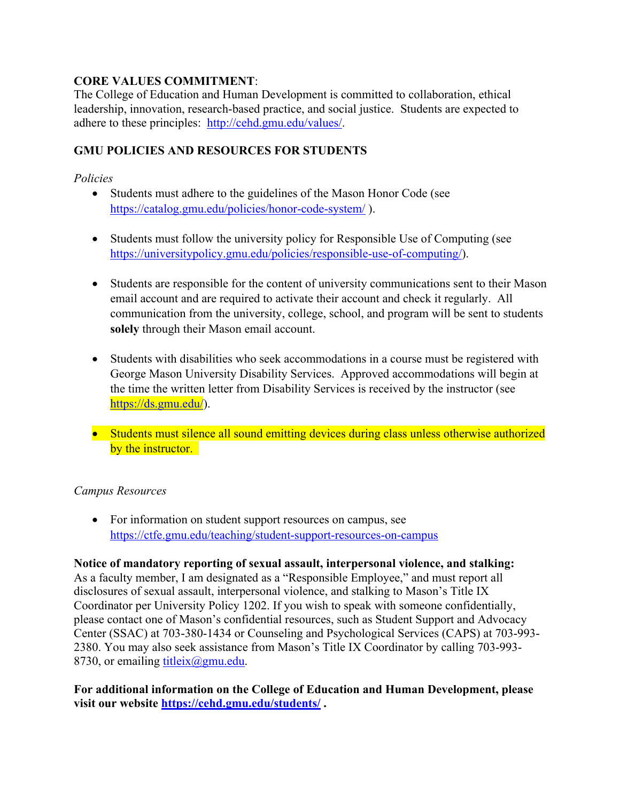## **CORE VALUES COMMITMENT**:

The College of Education and Human Development is committed to collaboration, ethical leadership, innovation, research-based practice, and social justice. Students are expected to adhere to these principles: http://cehd.gmu.edu/values/.

## **GMU POLICIES AND RESOURCES FOR STUDENTS**

## *Policies*

- Students must adhere to the guidelines of the Mason Honor Code (see https://catalog.gmu.edu/policies/honor-code-system/ ).
- Students must follow the university policy for Responsible Use of Computing (see https://universitypolicy.gmu.edu/policies/responsible-use-of-computing/).
- Students are responsible for the content of university communications sent to their Mason email account and are required to activate their account and check it regularly. All communication from the university, college, school, and program will be sent to students **solely** through their Mason email account.
- Students with disabilities who seek accommodations in a course must be registered with George Mason University Disability Services. Approved accommodations will begin at the time the written letter from Disability Services is received by the instructor (see https://ds.gmu.edu/).
- Students must silence all sound emitting devices during class unless otherwise authorized by the instructor.

## *Campus Resources*

• For information on student support resources on campus, see https://ctfe.gmu.edu/teaching/student-support-resources-on-campus

**Notice of mandatory reporting of sexual assault, interpersonal violence, and stalking:** As a faculty member, I am designated as a "Responsible Employee," and must report all disclosures of sexual assault, interpersonal violence, and stalking to Mason's Title IX Coordinator per University Policy 1202. If you wish to speak with someone confidentially, please contact one of Mason's confidential resources, such as Student Support and Advocacy Center (SSAC) at 703-380-1434 or Counseling and Psychological Services (CAPS) at 703-993- 2380. You may also seek assistance from Mason's Title IX Coordinator by calling 703-993- 8730, or emailing  $\underline{\text{title}}(a)$ gmu.edu.

**For additional information on the College of Education and Human Development, please visit our website https://cehd.gmu.edu/students/ .**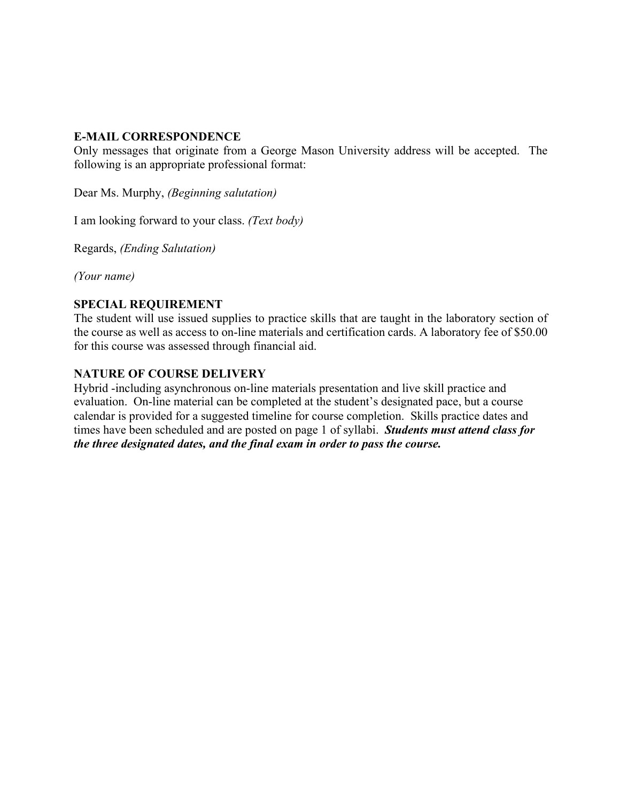#### **E-MAIL CORRESPONDENCE**

Only messages that originate from a George Mason University address will be accepted. The following is an appropriate professional format:

Dear Ms. Murphy, *(Beginning salutation)*

I am looking forward to your class. *(Text body)*

Regards, *(Ending Salutation)*

*(Your name)*

## **SPECIAL REQUIREMENT**

The student will use issued supplies to practice skills that are taught in the laboratory section of the course as well as access to on-line materials and certification cards. A laboratory fee of \$50.00 for this course was assessed through financial aid.

#### **NATURE OF COURSE DELIVERY**

Hybrid -including asynchronous on-line materials presentation and live skill practice and evaluation. On-line material can be completed at the student's designated pace, but a course calendar is provided for a suggested timeline for course completion. Skills practice dates and times have been scheduled and are posted on page 1 of syllabi. *Students must attend class for the three designated dates, and the final exam in order to pass the course.*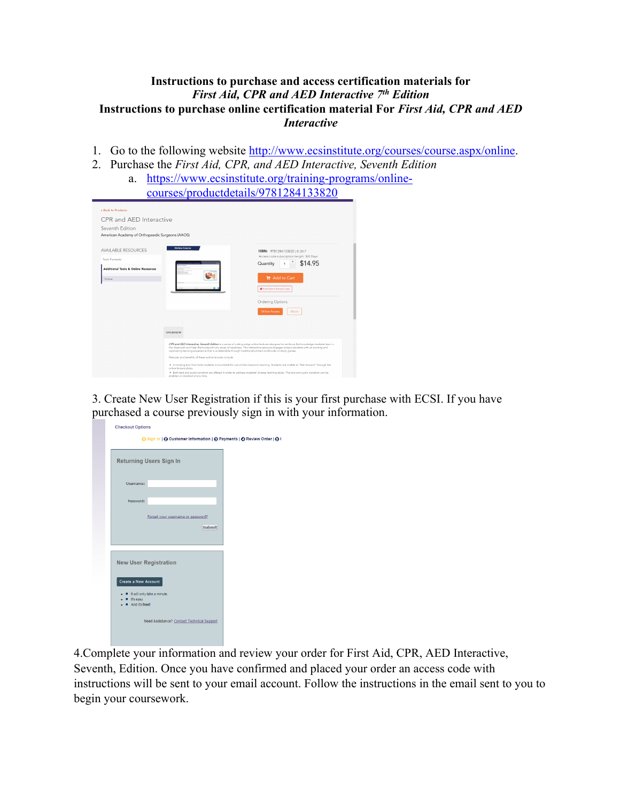#### **Instructions to purchase and access certification materials for**  *First Aid, CPR and AED Interactive 7th Edition* **Instructions to purchase online certification material For** *First Aid, CPR and AED Interactive*

- 1. Go to the following website http://www.ecsinstitute.org/courses/course.aspx/online.
- 2. Purchase the *First Aid, CPR, and AED Interactive, Seventh Edition*  a. https://www.ecsinstitute.org/training-programs/online-

| $\mathbf{H}(\mathbf{u} \mathbf{v})$<br>P1V                                                                                                                                                                                                  |                                                                                                                                                                                                                                      |                                                                                                                                                                                                                                                                                                                                                                                                                                                                                                                                                                     |  |  |
|---------------------------------------------------------------------------------------------------------------------------------------------------------------------------------------------------------------------------------------------|--------------------------------------------------------------------------------------------------------------------------------------------------------------------------------------------------------------------------------------|---------------------------------------------------------------------------------------------------------------------------------------------------------------------------------------------------------------------------------------------------------------------------------------------------------------------------------------------------------------------------------------------------------------------------------------------------------------------------------------------------------------------------------------------------------------------|--|--|
|                                                                                                                                                                                                                                             |                                                                                                                                                                                                                                      | courses/productdetails/9781284133820                                                                                                                                                                                                                                                                                                                                                                                                                                                                                                                                |  |  |
| <b>« Back to Products</b><br>CPR and AFD Interactive<br>Seventh Edition<br>American Academy of Orthopaedic Surgeons (AAOS)<br><b>AVAILABLE RESOURCES</b><br><b>Text Formats</b><br><b>Additional Tools &amp; Online Resources</b><br>Online | <b>Online Course</b><br><b>OVERVIEW</b>                                                                                                                                                                                              | ISBN: 9781284133820   © 2017<br>Access code subscription length: 365 Days<br>\$14.95<br>Quantity<br>■ Add to Cart<br><b>A</b> Instructor's Review Copy<br><b>Ordering Options</b><br><b>Online Access</b><br>eBook                                                                                                                                                                                                                                                                                                                                                  |  |  |
|                                                                                                                                                                                                                                             | captivating learning experience that is unattainable through traditional printed workbooks or study guides.<br>Features and henefits of these online lectures include:<br>online lecture slides.<br>enabled or disabled at any time. | CPR and AED Interactive, Seventh Edition is a series of cutting-edge online lectures designed to reinforce the knowledge students learn in<br>the classroom and help them pinpoint any areas of weakness. This interactive resource engages today's students with an exciting and<br>A tracking tool that holds students accountable for out-of-the classroom learning. Students are unable to "fast-forward" through the<br>> Both text and audio narration are offered in order to address students' diverse learning styles. The text and audio narration can be |  |  |

3. Create New User Registration if this is your first purchase with ECSI. If you have purchased a course previously sign in with your information.

| <b>Checkout Options</b>                                                            |  |
|------------------------------------------------------------------------------------|--|
| ⊙ Sign In   ⊙ Customer Information   ⊙ Payments   ⊙ Review Order   ⊙ (             |  |
| <b>Returning Users Sign In</b>                                                     |  |
| Usemame:                                                                           |  |
| Password:                                                                          |  |
| Forget your username or password?<br><b>Submit</b>                                 |  |
| <b>New User Registration</b>                                                       |  |
| Create a New Account<br>It will only take a minute.<br>It's easy<br>And it's free! |  |
| Need Assistance? Contact Technical Support                                         |  |

4.Complete your information and review your order for First Aid, CPR, AED Interactive, Seventh, Edition. Once you have confirmed and placed your order an access code with instructions will be sent to your email account. Follow the instructions in the email sent to you to begin your coursework.